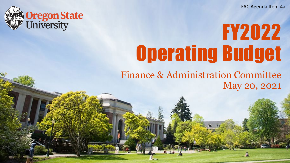FAC Agenda Item 4a



# FY2022 Operating Budget

Finance & Administration Committee May 20, 2021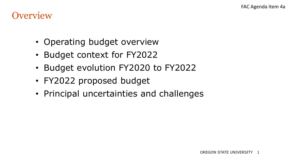#### **Overview**

- Operating budget overview
- Budget context for FY2022
- Budget evolution FY2020 to FY2022
- FY2022 proposed budget
- Principal uncertainties and challenges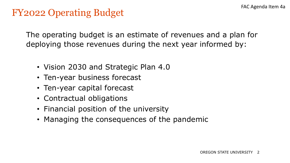#### FY2022 Operating Budget

The operating budget is an estimate of revenues and a plan for deploying those revenues during the next year informed by:

- Vision 2030 and Strategic Plan 4.0
- Ten-year business forecast
- Ten-year capital forecast
- Contractual obligations
- Financial position of the university
- Managing the consequences of the pandemic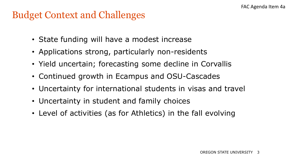#### Budget Context and Challenges

- State funding will have a modest increase
- Applications strong, particularly non-residents
- Yield uncertain; forecasting some decline in Corvallis
- Continued growth in Ecampus and OSU-Cascades
- Uncertainty for international students in visas and travel
- Uncertainty in student and family choices
- Level of activities (as for Athletics) in the fall evolving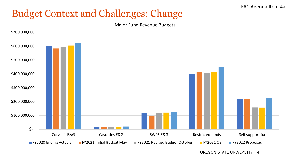# Budget Context and Challenges: Change

Major Fund Revenue Budgets



OREGON STATE UNIVERSITY 4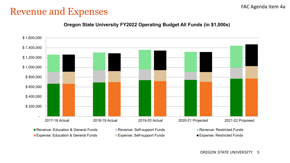#### Revenue and Expenses

#### **Oregon State University FY2022 Operating Budget All Funds (in \$1,000s)**

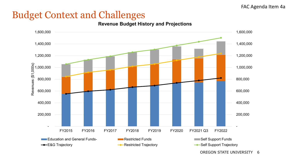# Budget Context and Challenges

**Revenue Budget History and Projections**



OREGON STATE UNIVERSITY 6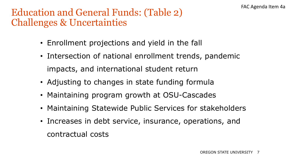## Education and General Funds: (Table 2) Challenges & Uncertainties

- Enrollment projections and yield in the fall
- Intersection of national enrollment trends, pandemic impacts, and international student return
- Adjusting to changes in state funding formula
- Maintaining program growth at OSU-Cascades
- Maintaining Statewide Public Services for stakeholders
- Increases in debt service, insurance, operations, and contractual costs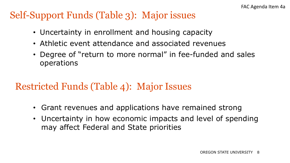# Self-Support Funds (Table 3): Major issues

- Uncertainty in enrollment and housing capacity
- Athletic event attendance and associated revenues
- Degree of "return to more normal" in fee-funded and sales operations

# Restricted Funds (Table 4): Major Issues

- Grant revenues and applications have remained strong
- Uncertainty in how economic impacts and level of spending may affect Federal and State priorities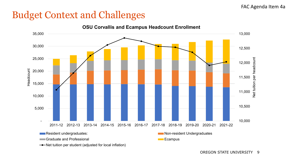# Budget Context and Challenges